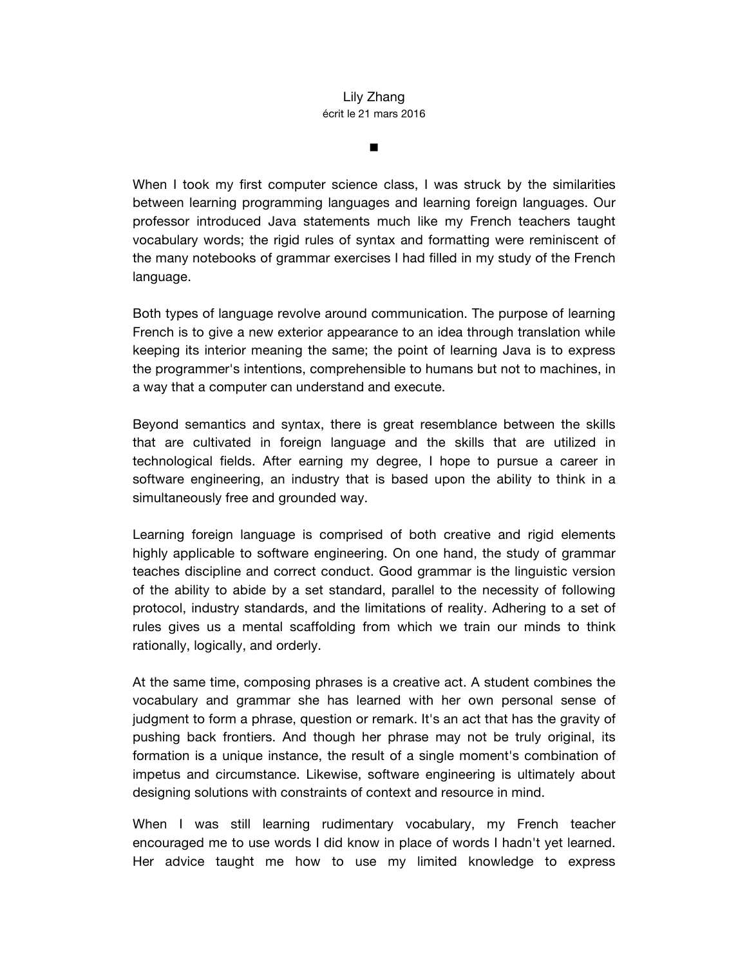## Lily Zhang écrit le 21 mars 2016

n

When I took my first computer science class, I was struck by the similarities between learning programming languages and learning foreign languages. Our professor introduced Java statements much like my French teachers taught vocabulary words; the rigid rules of syntax and formatting were reminiscent of the many notebooks of grammar exercises I had filled in my study of the French language.

Both types of language revolve around communication. The purpose of learning French is to give a new exterior appearance to an idea through translation while keeping its interior meaning the same; the point of learning Java is to express the programmer's intentions, comprehensible to humans but not to machines, in a way that a computer can understand and execute.

Beyond semantics and syntax, there is great resemblance between the skills that are cultivated in foreign language and the skills that are utilized in technological fields. After earning my degree, I hope to pursue a career in software engineering, an industry that is based upon the ability to think in a simultaneously free and grounded way.

Learning foreign language is comprised of both creative and rigid elements highly applicable to software engineering. On one hand, the study of grammar teaches discipline and correct conduct. Good grammar is the linguistic version of the ability to abide by a set standard, parallel to the necessity of following protocol, industry standards, and the limitations of reality. Adhering to a set of rules gives us a mental scaffolding from which we train our minds to think rationally, logically, and orderly.

At the same time, composing phrases is a creative act. A student combines the vocabulary and grammar she has learned with her own personal sense of judgment to form a phrase, question or remark. It's an act that has the gravity of pushing back frontiers. And though her phrase may not be truly original, its formation is a unique instance, the result of a single moment's combination of impetus and circumstance. Likewise, software engineering is ultimately about designing solutions with constraints of context and resource in mind.

When I was still learning rudimentary vocabulary, my French teacher encouraged me to use words I did know in place of words I hadn't yet learned. Her advice taught me how to use my limited knowledge to express